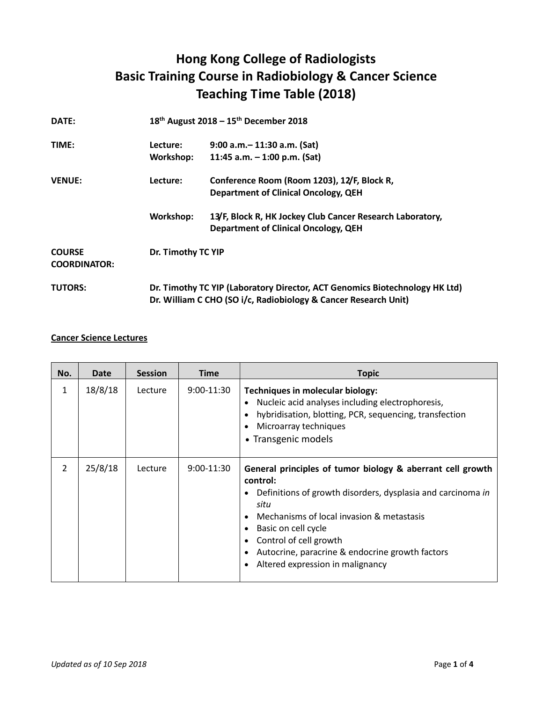## **Hong Kong College of Radiologists Basic Training Course in Radiobiology & Cancer Science Teaching Time Table (2018)**

| DATE:                                |           | 18 <sup>th</sup> August 2018 - 15 <sup>th</sup> December 2018                                                                                  |  |  |
|--------------------------------------|-----------|------------------------------------------------------------------------------------------------------------------------------------------------|--|--|
| TIME:                                | Lecture:  | $9:00$ a.m. $-11:30$ a.m. (Sat)                                                                                                                |  |  |
|                                      | Workshop: | 11:45 a.m. $-$ 1:00 p.m. (Sat)                                                                                                                 |  |  |
| <b>VENUE:</b>                        | Lecture:  | Conference Room (Room 1203), 12/F, Block R,                                                                                                    |  |  |
|                                      |           | <b>Department of Clinical Oncology, QEH</b>                                                                                                    |  |  |
|                                      | Workshop: | 13/F, Block R, HK Jockey Club Cancer Research Laboratory,<br><b>Department of Clinical Oncology, QEH</b>                                       |  |  |
| <b>COURSE</b><br><b>COORDINATOR:</b> |           | Dr. Timothy TC YIP                                                                                                                             |  |  |
| <b>TUTORS:</b>                       |           | Dr. Timothy TC YIP (Laboratory Director, ACT Genomics Biotechnology HK Ltd)<br>Dr. William C CHO (SO i/c, Radiobiology & Cancer Research Unit) |  |  |

## **Cancer Science Lectures**

| No.            | Date    | <b>Session</b> | <b>Time</b>  | <b>Topic</b>                                                                                                                                                                                                                                                                                                                       |
|----------------|---------|----------------|--------------|------------------------------------------------------------------------------------------------------------------------------------------------------------------------------------------------------------------------------------------------------------------------------------------------------------------------------------|
| 1              | 18/8/18 | Lecture        | $9:00-11:30$ | Techniques in molecular biology:<br>Nucleic acid analyses including electrophoresis,<br>hybridisation, blotting, PCR, sequencing, transfection<br>Microarray techniques<br>• Transgenic models                                                                                                                                     |
| $\overline{2}$ | 25/8/18 | Lecture        | $9:00-11:30$ | General principles of tumor biology & aberrant cell growth<br>control:<br>Definitions of growth disorders, dysplasia and carcinoma in<br>situ<br>Mechanisms of local invasion & metastasis<br>Basic on cell cycle<br>Control of cell growth<br>Autocrine, paracrine & endocrine growth factors<br>Altered expression in malignancy |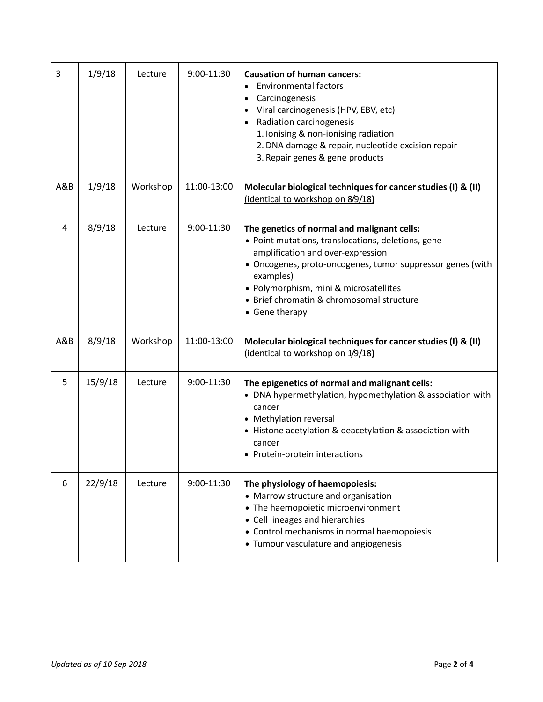| 3   | 1/9/18  | Lecture  | 9:00-11:30  | <b>Causation of human cancers:</b><br><b>Environmental factors</b><br>$\bullet$<br>Carcinogenesis<br>Viral carcinogenesis (HPV, EBV, etc)<br>Radiation carcinogenesis<br>$\bullet$<br>1. Ionising & non-ionising radiation<br>2. DNA damage & repair, nucleotide excision repair<br>3. Repair genes & gene products        |
|-----|---------|----------|-------------|----------------------------------------------------------------------------------------------------------------------------------------------------------------------------------------------------------------------------------------------------------------------------------------------------------------------------|
| A&B | 1/9/18  | Workshop | 11:00-13:00 | Molecular biological techniques for cancer studies (I) & (II)<br>(identical to workshop on 8/9/18)                                                                                                                                                                                                                         |
| 4   | 8/9/18  | Lecture  | 9:00-11:30  | The genetics of normal and malignant cells:<br>• Point mutations, translocations, deletions, gene<br>amplification and over-expression<br>• Oncogenes, proto-oncogenes, tumor suppressor genes (with<br>examples)<br>• Polymorphism, mini & microsatellites<br>• Brief chromatin & chromosomal structure<br>• Gene therapy |
| A&B | 8/9/18  | Workshop | 11:00-13:00 | Molecular biological techniques for cancer studies (I) & (II)<br>(identical to workshop on 1/9/18)                                                                                                                                                                                                                         |
| 5   | 15/9/18 | Lecture  | 9:00-11:30  | The epigenetics of normal and malignant cells:<br>• DNA hypermethylation, hypomethylation & association with<br>cancer<br>• Methylation reversal<br>• Histone acetylation & deacetylation & association with<br>cancer<br>• Protein-protein interactions                                                                   |
| 6   | 22/9/18 | Lecture  | 9:00-11:30  | The physiology of haemopoiesis:<br>• Marrow structure and organisation<br>• The haemopoietic microenvironment<br>• Cell lineages and hierarchies<br>• Control mechanisms in normal haemopoiesis<br>• Tumour vasculature and angiogenesis                                                                                   |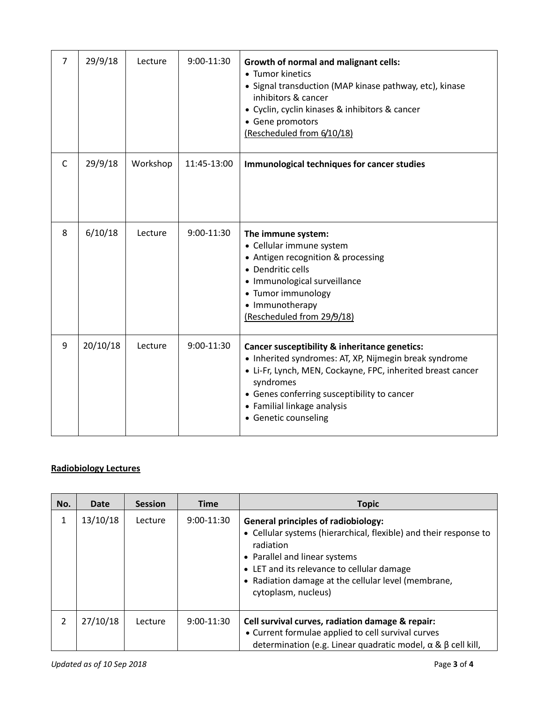| 7 | 29/9/18  | Lecture  | 9:00-11:30  | <b>Growth of normal and malignant cells:</b><br>• Tumor kinetics<br>• Signal transduction (MAP kinase pathway, etc), kinase<br>inhibitors & cancer                                                                                                                                        |
|---|----------|----------|-------------|-------------------------------------------------------------------------------------------------------------------------------------------------------------------------------------------------------------------------------------------------------------------------------------------|
|   |          |          |             | • Cyclin, cyclin kinases & inhibitors & cancer<br>• Gene promotors<br>(Rescheduled from 6/10/18)                                                                                                                                                                                          |
| C | 29/9/18  | Workshop | 11:45-13:00 | Immunological techniques for cancer studies                                                                                                                                                                                                                                               |
| 8 | 6/10/18  | Lecture  | 9:00-11:30  | The immune system:<br>• Cellular immune system<br>• Antigen recognition & processing<br>• Dendritic cells<br>• Immunological surveillance<br>• Tumor immunology<br>• Immunotherapy<br>(Rescheduled from 29/9/18)                                                                          |
| 9 | 20/10/18 | Lecture  | 9:00-11:30  | Cancer susceptibility & inheritance genetics:<br>• Inherited syndromes: AT, XP, Nijmegin break syndrome<br>• Li-Fr, Lynch, MEN, Cockayne, FPC, inherited breast cancer<br>syndromes<br>• Genes conferring susceptibility to cancer<br>• Familial linkage analysis<br>• Genetic counseling |

## **Radiobiology Lectures**

| No. | Date     | <b>Session</b> | <b>Time</b>  | <b>Topic</b>                                                                                                                                                                                                                                                                              |
|-----|----------|----------------|--------------|-------------------------------------------------------------------------------------------------------------------------------------------------------------------------------------------------------------------------------------------------------------------------------------------|
|     | 13/10/18 | Lecture        | $9:00-11:30$ | <b>General principles of radiobiology:</b><br>• Cellular systems (hierarchical, flexible) and their response to<br>radiation<br>• Parallel and linear systems<br>• LET and its relevance to cellular damage<br>• Radiation damage at the cellular level (membrane,<br>cytoplasm, nucleus) |
| 2   | 27/10/18 | Lecture        | $9:00-11:30$ | Cell survival curves, radiation damage & repair:<br>• Current formulae applied to cell survival curves<br>determination (e.g. Linear quadratic model, $\alpha \& \beta$ cell kill,                                                                                                        |